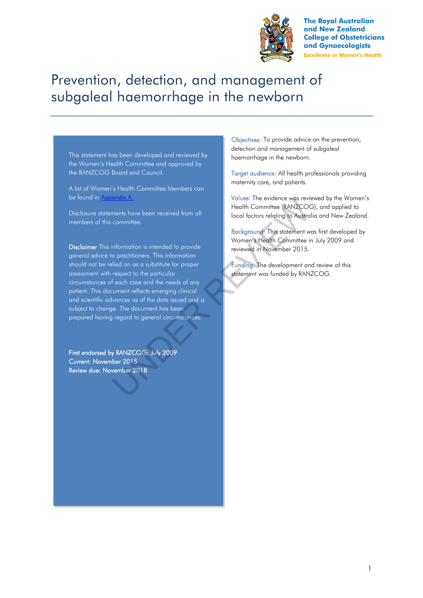

**The Royal Australian** and New Zealand **College of Obstetricians** and Gynaecologists **Excellence in Women's Health** 

# Prevention, detection, and management of subgaleal haemorrhage in the newborn

This statement has been developed and reviewed by the Women's Health Committee and approved by the RANZCOG Board and Council.

A list of Women's Health Committee Members can be found in Appendix A.

Disclosure statements have been received from all members of this committee.

Disclaimer This information is intended to provide general advice to practitioners. This information should not be relied on as a substitute for proper assessment with respect to the particular circumstances of each case and the needs of any patient. This document reflects emerging clinical and scientific advances as of the date issued and is subject to change. The document has been prepared having regard to general circumstances. VOIDES: The evidence was revivaled that the momittee.<br>
The the control of the control of the statement with committee in the control of the particular and the proper<br>
Information is intended to provide<br>
information is inte

First endorsed by RANZCOG: July 2009 Current: November 2015 Review due: November 2018

Objectives: To provide advice on the prevention, detection and management of subgaleal haemorrhage in the newborn.

Target audience: All health professionals providing maternity care, and patients.

Values: The evidence was reviewed by the Women's Health Committee (RANZCOG), and applied to local factors relating to Australia and New Zealand.

Background: This statement was first developed by Women's Health Committee in July 2009 and reviewed in November 2015.

Funding: The development and review of this statement was funded by RANZCOG.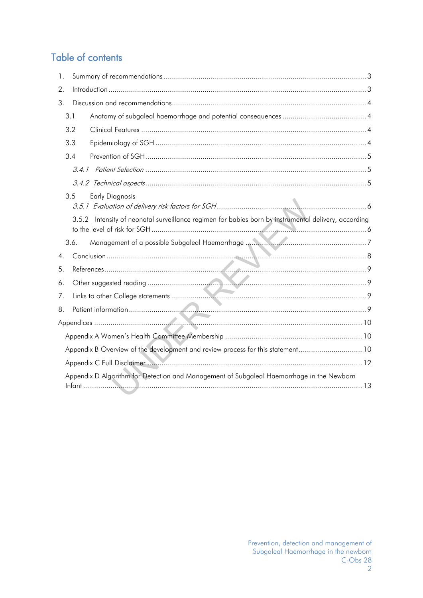## Table of contents

| 1.               |       |                                                                                                |
|------------------|-------|------------------------------------------------------------------------------------------------|
| 2.               |       |                                                                                                |
| 3.               |       |                                                                                                |
|                  | 3.1   |                                                                                                |
|                  | 3.2   |                                                                                                |
|                  | 3.3   |                                                                                                |
|                  | 3.4   |                                                                                                |
|                  |       |                                                                                                |
|                  |       |                                                                                                |
|                  | 3.5   | <b>Early Diagnosis</b>                                                                         |
|                  | 3.5.2 | Intensity of neonatal surveillance regimen for babies born by instrumental delivery, according |
|                  | 3.6.  |                                                                                                |
| $\overline{4}$ . |       |                                                                                                |
| 5.               |       |                                                                                                |
| 6.               |       |                                                                                                |
| 7.               |       |                                                                                                |
| 8.               |       |                                                                                                |
|                  |       |                                                                                                |
|                  |       |                                                                                                |
|                  |       | Appendix B Overview of the development and review process for this statement 10                |
|                  |       |                                                                                                |
|                  |       | Appendix D Algorithm for Detection and Management of Subgaleal Haemorrhage in the Newborn      |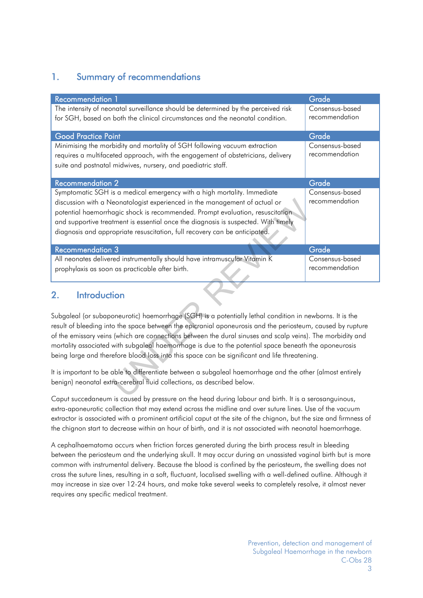### <span id="page-2-0"></span>1. Summary of recommendations

| <b>Recommendation 1</b>                                                                                                                                                                                                                                                                                                                                                                                                                                                                                                                        | Grade                             |
|------------------------------------------------------------------------------------------------------------------------------------------------------------------------------------------------------------------------------------------------------------------------------------------------------------------------------------------------------------------------------------------------------------------------------------------------------------------------------------------------------------------------------------------------|-----------------------------------|
| The intensity of neonatal surveillance should be determined by the perceived risk<br>for SGH, based on both the clinical circumstances and the neonatal condition.                                                                                                                                                                                                                                                                                                                                                                             | Consensus-based<br>recommendation |
| <b>Good Practice Point</b>                                                                                                                                                                                                                                                                                                                                                                                                                                                                                                                     | Grade                             |
| Minimising the morbidity and mortality of SGH following vacuum extraction<br>requires a multifaceted approach, with the engagement of obstetricians, delivery<br>suite and postnatal midwives, nursery, and paediatric staff.                                                                                                                                                                                                                                                                                                                  | Consensus-based<br>recommendation |
| <b>Recommendation 2</b>                                                                                                                                                                                                                                                                                                                                                                                                                                                                                                                        | Grade                             |
| Symptomatic SGH is a medical emergency with a high mortality. Immediate<br>discussion with a Neonatologist experienced in the management of actual or<br>potential haemorrhagic shock is recommended. Prompt evaluation, resuscitation<br>and supportive treatment is essential once the diagnosis is suspected. With timely<br>diagnosis and appropriate resuscitation, full recovery can be anticipated.                                                                                                                                     | Consensus-based<br>recommendation |
|                                                                                                                                                                                                                                                                                                                                                                                                                                                                                                                                                |                                   |
| <b>Recommendation 3</b>                                                                                                                                                                                                                                                                                                                                                                                                                                                                                                                        | Grade                             |
| All neonates delivered instrumentally should have intramuscular Vitamin K<br>prophylaxis as soon as practicable after birth.                                                                                                                                                                                                                                                                                                                                                                                                                   | Consensus-based<br>recommendation |
| <b>Introduction</b><br>2.                                                                                                                                                                                                                                                                                                                                                                                                                                                                                                                      |                                   |
| Subgaleal (or subaponeurotic) haemorrhage (SGH) is a potentially lethal condition in newborns. It is the<br>result of bleeding into the space between the epicranial aponeurosis and the periosteum, caused by rupture<br>of the emissary veins (which are connections between the dural sinuses and scalp veins). The morbidity and<br>mortality associated with subgaleal haemorrhage is due to the potential space beneath the aponeurosis<br>being large and therefore blood loss into this space can be significant and life threatening. |                                   |
| It is important to be able to differentiate between a subgaleal haemorrhage and the other (almost entirely<br>benign) neonatal extra-cerebral fluid collections, as described below.                                                                                                                                                                                                                                                                                                                                                           |                                   |

### <span id="page-2-1"></span>2. Introduction

Caput succedaneum is caused by pressure on the head during labour and birth. It is a serosanguinous, extra-aponeurotic collection that may extend across the midline and over suture lines. Use of the vacuum extractor is associated with a prominent artificial caput at the site of the chignon, but the size and firmness of the chignon start to decrease within an hour of birth, and it is not associated with neonatal haemorrhage.

A cephalhaematoma occurs when friction forces generated during the birth process result in bleeding between the periosteum and the underlying skull. It may occur during an unassisted vaginal birth but is more common with instrumental delivery. Because the blood is confined by the periosteum, the swelling does not cross the suture lines, resulting in a soft, fluctuant, localised swelling with a well-defined outline. Although it may increase in size over 12-24 hours, and make take several weeks to completely resolve, it almost never requires any specific medical treatment.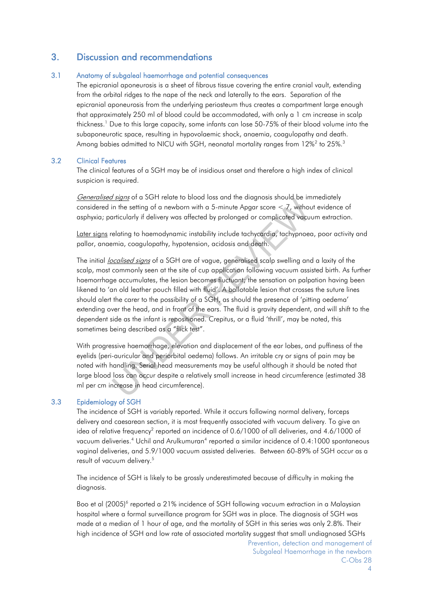### <span id="page-3-0"></span>3. Discussion and recommendations

#### <span id="page-3-1"></span>3.1 Anatomy of subgaleal haemorrhage and potential consequences

The epicranial aponeurosis is a sheet of fibrous tissue covering the entire cranial vault, extending from the orbital ridges to the nape of the neck and laterally to the ears. Separation of the epicranial aponeurosis from the underlying periosteum thus creates a compartment large enough that approximately 250 ml of blood could be accommodated, with only a 1 cm increase in scalp thickness.<sup>1</sup>Due to this large capacity, some infants can lose 50-75% of their blood volume into the subaponeurotic space, resulting in hypovolaemic shock, anaemia, coagulopathy and death. Amongbabies admitted to NICU with SGH, neonatal mortality ranges from  $12\%^2$  to  $25\%$ [.](#page-8-6) $^3$ 

#### <span id="page-3-2"></span>3.2 Clinical Features

The clinical features of a SGH may be of insidious onset and therefore a high index of clinical suspicion is required.

Generalised signs of a SGH relate to blood loss and the diagnosis should be immediately considered in the setting of a newborn with a 5-minute Apgar score < 7, without evidence of asphyxia; particularly if delivery was affected by prolonged or complicated vacuum extraction.

Later signs relating to haemodynamic instability include tachycardia, tachypnoea, poor activity and pallor, anaemia, coagulopathy, hypotension, acidosis and death.

The initial *localised signs* of a SGH are of vague, generalised scalp swelling and a laxity of the scalp, most commonly seen at the site of cup application following vacuum assisted birth. As further haemorrhage accumulates, the lesion becomes fluctuant; the sensation on palpation having been likened to 'an old leather pouch filled with fluid'. A ballotable lesion that crosses the suture lines should alert the carer to the possibility of a SGH, as should the presence of 'pitting oedema' extending over the head, and in front of the ears. The fluid is gravity dependent, and will shift to the dependent side as the infant is repositioned. Crepitus, or a fluid 'thrill', may be noted, this sometimes being described as a "flick test". *Usignia* or a sort retaile to blood toss unia the diagnosis shoot be in the setting of a newborn with a 5-minute Apgar score < 7, without includedly if delivery was affected by prolonged or complicated vacuelating to haem

With progressive haemorrhage, elevation and displacement of the ear lobes, and puffiness of the eyelids (peri-auricular and periorbital oedema) follows. An irritable cry or signs of pain may be noted with handling. Serial head measurements may be useful although it should be noted that large blood loss can occur despite a relatively small increase in head circumference (estimated 38 ml per cm increase in head circumference).

#### <span id="page-3-3"></span>3.3 Epidemiology of SGH

The incidence of SGH is variably reported. While it occurs following normal delivery, forceps delivery and caesarean section, it is most frequently associated with vacuum delivery. To give an ideaof relative frequency<sup>2</sup> reported an incidence of 0.6/1000 of all deliveries, and 4.6/1000 of vacuumdeliveries.<sup>4</sup> Uchil and Arulkumuran<sup>4</sup> reported a similar incidence of 0.4:1000 spontaneous vaginal deliveries, and 5.9/1000 vacuum assisted deliveries. Between 60-89% of SGH occur as a result of vacuum delivery[.](#page-8-8)<sup>5</sup>

The incidence of SGH is likely to be grossly underestimated because of difficulty in making the diagnosis.

Booet al (2005)<sup>6</sup> reported a 21% incidence of SGH following vacuum extraction in a Malaysian hospital where a formal surveillance program for SGH was in place. The diagnosis of SGH was made at a median of 1 hour of age, and the mortality of SGH in this series was only 2.8%. Their high incidence of SGH and low rate of associated mortality suggest that small undiagnosed SGHs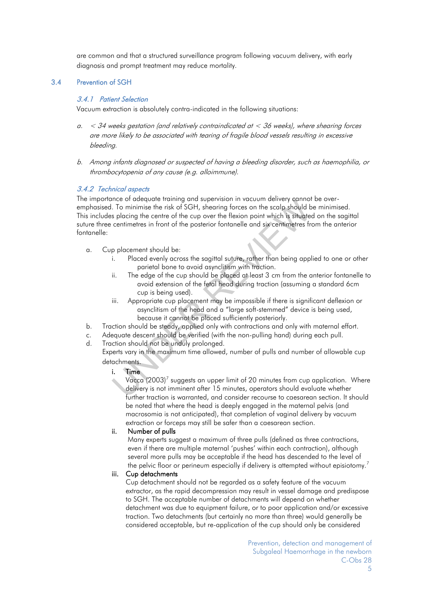are common and that a structured surveillance program following vacuum delivery, with early diagnosis and prompt treatment may reduce mortality.

#### <span id="page-4-1"></span><span id="page-4-0"></span>3.4 Prevention of SGH

#### 3.4.1 Patient Selection

Vacuum extraction is absolutely contra-indicated in the following situations:

- $a. < 34$  weeks gestation (and relatively contraindicated at  $< 36$  weeks), where shearing forces are more likely to be associated with tearing of fragile blood vessels resulting in excessive bleeding.
- b. Among infants diagnosed or suspected of having a bleeding disorder, such as haemophilia, or thrombocytopenia of any cause (e.g. alloimmune).

#### <span id="page-4-2"></span>3.4.2 Technical aspects

The importance of adequate training and supervision in vacuum delivery cannot be overemphasised. To minimise the risk of SGH, shearing forces on the scalp should be minimised. This includes placing the centre of the cup over the flexion point which is situated on the sagittal suture three centimetres in front of the posterior fontanelle and six centimetres from the anterior fontanelle: To minimise the risk of SGH, shearing forces on the scalp should be spin-<br>in the relation of the solar spin-spin-spin-s placing the centre of the cup over the flexion point which is situate<br>centimetres in front of the post

- a. Cup placement should be:
	- i. Placed evenly across the sagittal suture, rather than being applied to one or other parietal bone to avoid asynclitism with traction.
	- ii. The edge of the cup should be placed at least 3 cm from the anterior fontanelle to avoid extension of the fetal head during traction (assuming a standard 6cm cup is being used).
	- iii. Appropriate cup placement may be impossible if there is significant deflexion or asynclitism of the head and a "large soft-stemmed" device is being used, because it cannot be placed sufficiently posteriorly.
- b. Traction should be steady, applied only with contractions and only with maternal effort.
- c. Adequate descent should be verified (with the non-pulling hand) during each pull.
- d. Traction should not be unduly prolonged.
- Experts vary in the maximum time allowed, number of pulls and number of allowable cup detachments.

#### i. Time

Vacca (2003)<sup>7</sup> suggests an upper limit of 20 minutes from cup application. Where delivery is not imminent after 15 minutes, operators should evaluate whether further traction is warranted, and consider recourse to caesarean section. It should be noted that where the head is deeply engaged in the maternal pelvis (and macrosomia is not anticipated), that completion of vaginal delivery by vacuum extraction or forceps may still be safer than a caesarean section.

#### ii. Number of pulls

Many experts suggest a maximum of three pulls (defined as three contractions, even if there are multiple maternal 'pushes' within each contraction), although several more pulls may be acceptable if the head has descended to the level of the pelvic floor or perineum especially if delivery is attempted without episiotomy.<sup>[7](#page-8-10)</sup>

#### iii. Cup detachments

Cup detachment should not be regarded as a safety feature of the vacuum extractor, as the rapid decompression may result in vessel damage and predispose to SGH. The acceptable number of detachments will depend on whether detachment was due to equipment failure, or to poor application and/or excessive traction. Two detachments (but certainly no more than three) would generally be considered acceptable, but re-application of the cup should only be considered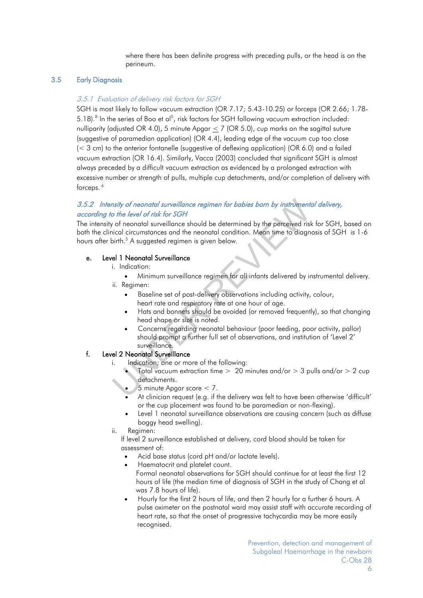where there has been definite progress with preceding pulls, or the head is on the perineum.

#### <span id="page-5-0"></span>3.5 Early Diagnosis

#### 3.5.1 Evaluation of delivery risk factors for SGH

SGH is most likely to follow vacuum extraction (OR 7.17; 5.43-10.25) or forceps (OR 2.66; 1.78- 5.1[8](#page-8-11)).<sup>8</sup> In the series of Boo et al<sup>5</sup>, risk factors for SGH following vacuum extraction included: nulliparity (adjusted OR 4.0), 5 minute Apgar  $<$  7 (OR 5.0), cup marks on the sagittal suture (suggestive of paramedian application) (OR 4.4), leading edge of the vacuum cup too close (< 3 cm) to the anterior fontanelle (suggestive of deflexing application) (OR 6.0) and a failed vacuum extraction (OR 16.4). Similarly, Vacca (2003) concluded that significant SGH is almost always preceded by a difficult vacuum extraction as evidenced by a prolonged extraction with excessive number or strength of pulls, multiple cup detachments, and/or completion of delivery with forceps.<sup>6</sup>

#### <span id="page-5-1"></span>3.5.2 Intensity of neonatal surveillance regimen for babies born by instrumental delivery, according to the level of risk for SGH

The intensity of neonatal surveillance should be determined by the perceived risk for SGH, based on both the clinical circumstances and the neonatal condition. Mean time to diagnosis of SGH is 1-6 hours after birth.<sup>5</sup> A suggested regimen is given below. From the level of risk for SGH<br>
User the level of risk for SGH<br>
User the level of risk for SGH<br>
User the nearch of the perceved risk for SGH<br>
User the nearch of the nearch of the perceved risk<br>
Incidenties and the nearch

#### e. Level 1 Neonatal Surveillance

i. Indication:

 Minimum surveillance regimen for all infants delivered by instrumental delivery. ii. Regimen:

- Baseline set of post-delivery observations including activity, colour, heart rate and respiratory rate at one hour of age.
- Hats and bonnets should be avoided (or removed frequently), so that changing head shape or size is noted.
- Concerns regarding neonatal behaviour (poor feeding, poor activity, pallor) should prompt a further full set of observations, and institution of 'Level 2' surveillance.
- f. Level 2 Neonatal Surveillance
	- i. Indication; one or more of the following:
		- Total vacuum extraction time  $> 20$  minutes and/or  $> 3$  pulls and/or  $> 2$  cup detachments.
		- 5 minute Apgar score < 7.
		- At clinician request (e.g. if the delivery was felt to have been otherwise 'difficult' or the cup placement was found to be paramedian or non-flexing).
		- Level 1 neonatal surveillance observations are causing concern (such as diffuse boggy head swelling).
	- ii. Regimen:

If level 2 surveillance established at delivery, cord blood should be taken for assessment of:

- Acid base status (cord pH and/or lactate levels).
- Haematocrit and platelet count. Formal neonatal observations for SGH should continue for at least the first 12 hours of life (the median time of diagnosis of SGH in the study of Chang et al was 7.8 hours of life).
- Hourly for the first 2 hours of life, and then 2 hourly for a further 6 hours. A pulse oximeter on the postnatal ward may assist staff with accurate recording of heart rate, so that the onset of progressive tachycardia may be more easily recognised.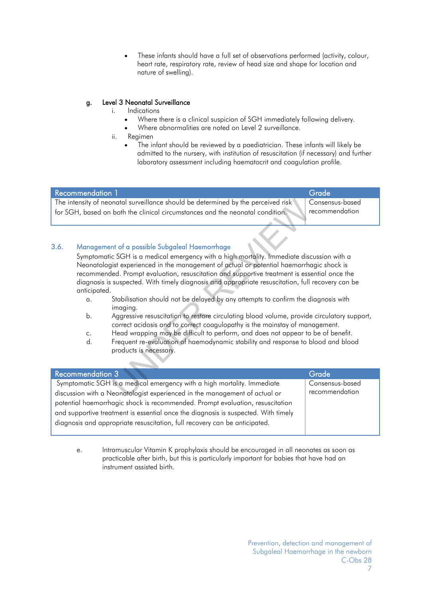These infants should have a full set of observations performed (activity, colour, heart rate, respiratory rate, review of head size and shape for location and nature of swelling).

#### g. Level 3 Neonatal Surveillance

- i. Indications
	- Where there is a clinical suspicion of SGH immediately following delivery.
	- Where abnormalities are noted on Level 2 surveillance.
- ii. Regimen
	- The infant should be reviewed by a paediatrician. These infants will likely be admitted to the nursery, with institution of resuscitation (if necessary) and further laboratory assessment including haematocrit and coagulation profile.

| <b>Recommendation 1</b>                                                                                                                                            | Grade                             |
|--------------------------------------------------------------------------------------------------------------------------------------------------------------------|-----------------------------------|
| The intensity of neonatal surveillance should be determined by the perceived risk<br>for SGH, based on both the clinical circumstances and the neonatal condition. | Consensus-based<br>recommendation |
|                                                                                                                                                                    |                                   |

#### <span id="page-6-0"></span>3.6. Management of a possible Subgaleal Haemorrhage

Symptomatic SGH is a medical emergency with a high mortality. Immediate discussion with a Neonatologist experienced in the management of actual or potential haemorrhagic shock is recommended. Prompt evaluation, resuscitation and supportive treatment is essential once the diagnosis is suspected. With timely diagnosis and appropriate resuscitation, full recovery can be anticipated. Framined by the perceived risk<br>
and the neonatal condition.<br>
Framined the mortality of the distance of actual or potential haemorrhadion<br>
and supportive treatment is essential and appropriate resuscitation, full<br>
distance

- a. Stabilisation should not be delayed by any attempts to confirm the diagnosis with imaging.
- b. Aggressive resuscitation to restore circulating blood volume, provide circulatory support, correct acidosis and to correct coagulopathy is the mainstay of management.
- c. Head wrapping may be difficult to perform, and does not appear to be of benefit.
- d. Frequent re-evaluation of haemodynamic stability and response to blood and blood products is necessary.

| α.<br>b.<br>C.<br>d.    | Stabilisation should not be delayed by any attempts to confirm the diagnosis with<br>imaging.<br>Aggressive resuscitation to restore circulating blood volume, provide circulatory support,<br>correct acidosis and to correct coagulopathy is the mainstay of management.<br>Head wrapping may be difficult to perform, and does not appear to be of benefit.<br>Frequent re-evaluation of haemodynamic stability and response to blood and blood<br>products is necessary. |                                   |  |  |  |
|-------------------------|------------------------------------------------------------------------------------------------------------------------------------------------------------------------------------------------------------------------------------------------------------------------------------------------------------------------------------------------------------------------------------------------------------------------------------------------------------------------------|-----------------------------------|--|--|--|
| <b>Recommendation 3</b> |                                                                                                                                                                                                                                                                                                                                                                                                                                                                              | Grade                             |  |  |  |
|                         | Symptomatic SGH is a medical emergency with a high mortality. Immediate<br>discussion with a Neonatologist experienced in the management of actual or<br>potential haemorrhagic shock is recommended. Prompt evaluation, resuscitation<br>and supportive treatment is essential once the diagnosis is suspected. With timely<br>diagnosis and appropriate resuscitation, full recovery can be anticipated.                                                                   | Consensus-based<br>recommendation |  |  |  |

e. Intramuscular Vitamin K prophylaxis should be encouraged in all neonates as soon as practicable after birth, but this is particularly important for babies that have had an instrument assisted birth.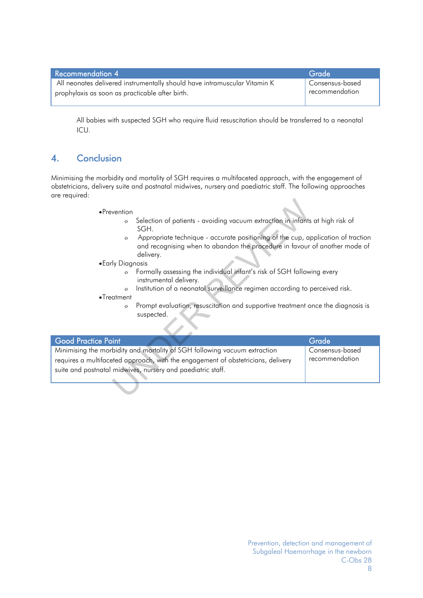| Recommendation 4                                                          | Grade                       |
|---------------------------------------------------------------------------|-----------------------------|
| All neonates delivered instrumentally should have intramuscular Vitamin K | Consensus-based             |
| prophylaxis as soon as practicable after birth.                           | <sup>1</sup> recommendation |

All babies with suspected SGH who require fluid resuscitation should be transferred to a neonatal ICU.

### <span id="page-7-0"></span>4. Conclusion

Minimising the morbidity and mortality of SGH requires a multifaceted approach, with the engagement of obstetricians, delivery suite and postnatal midwives, nursery and paediatric staff. The following approaches are required:

- Prevention
	- Selection of patients avoiding vacuum extraction in infants at high risk of SGH.
	- Appropriate technique accurate positioning of the cup, application of traction and recognising when to abandon the procedure in favour of another mode of delivery.
- Early Diagnosis
	- Formally assessing the individual infant's risk of SGH following every instrumental delivery.
	- o Institution of a neonatal surveillance regimen according to perceived risk.
- Treatment
	- Prompt evaluation, resuscitation and supportive treatment once the diagnosis is suspected.

| •Prevention<br>$\circ$<br>$\mathbf{o}$<br>• Early Diagnosis<br>$\mathbf{o}$<br>$\circ$<br>$\bullet$ Treatment<br>$\circ$ | Selection of patients - avoiding vacuum extraction in infants at high risk of<br>SGH.<br>Appropriate technique - accurate positioning of the cup, application of traction<br>and recognising when to abandon the procedure in favour of another mode of<br>delivery.<br>Formally assessing the individual infant's risk of SGH following every<br>instrumental delivery.<br>Institution of a neonatal surveillance regimen according to perceived risk.<br>Prompt evaluation, resuscitation and supportive treatment once the diagnosis is<br>suspected. |                                   |
|--------------------------------------------------------------------------------------------------------------------------|----------------------------------------------------------------------------------------------------------------------------------------------------------------------------------------------------------------------------------------------------------------------------------------------------------------------------------------------------------------------------------------------------------------------------------------------------------------------------------------------------------------------------------------------------------|-----------------------------------|
| <b>Good Practice Point</b>                                                                                               |                                                                                                                                                                                                                                                                                                                                                                                                                                                                                                                                                          | Grade                             |
|                                                                                                                          | Minimising the morbidity and mortality of SGH following vacuum extraction<br>requires a multifaceted approach, with the engagement of obstetricians, delivery<br>suite and postnatal midwives, nursery and paediatric staff.                                                                                                                                                                                                                                                                                                                             | Consensus-based<br>recommendation |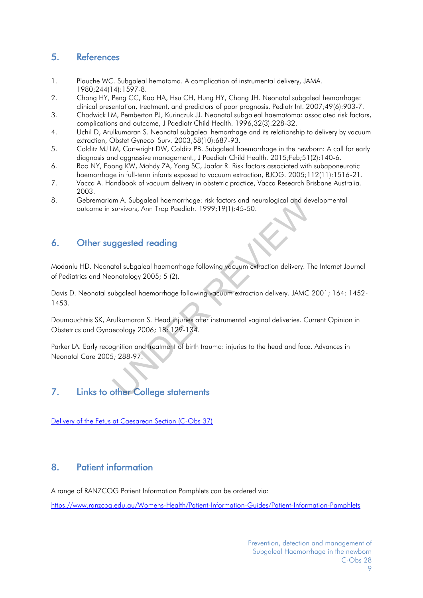### <span id="page-8-0"></span>5. References

- <span id="page-8-4"></span>1. Plauche WC. Subgaleal hematoma. A complication of instrumental delivery, JAMA. 1980;244(14):1597-8.
- <span id="page-8-5"></span>2. Chang HY, Peng CC, Kao HA, Hsu CH, Hung HY, Chang JH. Neonatal subgaleal hemorrhage: clinical presentation, treatment, and predictors of poor prognosis, Pediatr Int. 2007;49(6):903-7.
- <span id="page-8-6"></span>3. Chadwick LM, Pemberton PJ, Kurinczuk JJ. Neonatal subgaleal haematoma: associated risk factors, complications and outcome, J Paediatr Child Health. 1996;32(3):228-32.
- <span id="page-8-7"></span>4. Uchil D, Arulkumaran S. Neonatal subgaleal hemorrhage and its relationship to delivery by vacuum extraction, Obstet Gynecol Surv. 2003;58(10):687-93.
- <span id="page-8-8"></span>5. Colditz MJ LM, Cartwright DW, Colditz PB. Subgaleal haemorrhage in the newborn: A call for early diagnosis and aggressive management., J Paediatr Child Health. 2015;Feb;51(2):140-6.
- <span id="page-8-9"></span>6. Boo NY, Foong KW, Mahdy ZA, Yong SC, Jaafar R. Risk factors associated with subaponeurotic haemorrhage in full-term infants exposed to vacuum extraction, BJOG. 2005;112(11):1516-21.
- <span id="page-8-10"></span>7. Vacca A. Handbook of vacuum delivery in obstetric practice, Vacca Research Brisbane Australia. 2003.
- <span id="page-8-11"></span>8. Gebremariam A. Subgaleal haemorrhage: risk factors and neurological and developmental outcome in survivors, Ann Trop Paediatr. 1999;19(1):45-50.

### <span id="page-8-1"></span>6. Other suggested reading

Modanlu HD. Neonatal subgaleal haemorrhage following vacuum extraction delivery. The Internet Journal of Pediatrics and Neonatology 2005; 5 (2).

Davis D. Neonatal subgaleal haemorrhage following vacuum extraction delivery. JAMC 2001; 164: 1452- 1453.

Doumouchtsis SK, Arulkumaran S. Head injuries after instrumental vaginal deliveries. Current Opinion in Obstetrics and Gynaecology 2006; 18: 129-134. Im A. Subgaleal haemorrhage: risk factors and neurological and desurvivors, Ann Trop Paediatr. 1999;19(1):45-50.<br> **ggested reading**<br>
atal subgaleal haemorrhage following vacuum extraction delivery. To<br>
onatology 2005; 5 (2

Parker LA. Early recognition and treatment of birth trauma: injuries to the head and face. Advances in Neonatal Care 2005; 288-97.

### <span id="page-8-2"></span>7. Links to other College statements

[Delivery of the Fetus at Caesarean Section \(C-Obs 37\)](https://www.ranzcog.edu.au/RANZCOG_SITE/media/RANZCOG-MEDIA/Women%27s%20Health/Statement%20and%20guidelines/Clinical-Obstetrics/Delivery-of-fetus-at-caesarean-section-(C-Obs-37)-Review-November-2016_1.pdf?ext=.pdf)

### <span id="page-8-3"></span>8. Patient information

A range of RANZCOG Patient Information Pamphlets can be ordered via:

<https://www.ranzcog.edu.au/Womens-Health/Patient-Information-Guides/Patient-Information-Pamphlets>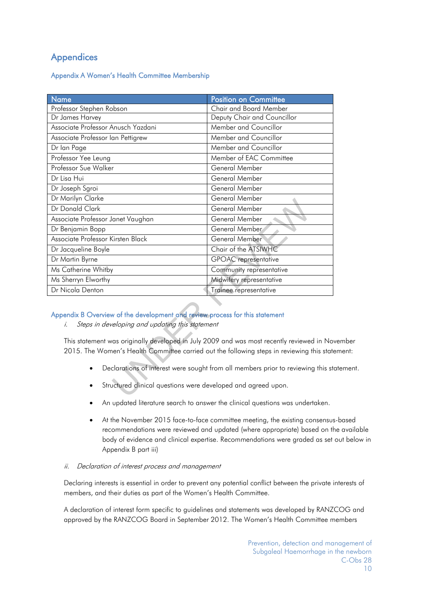### <span id="page-9-0"></span>**Appendices**

<span id="page-9-1"></span>Appendix A Women's Health Committee Membership

| Name                                                                                                                                                                                   | <b>Position on Committee</b> |  |
|----------------------------------------------------------------------------------------------------------------------------------------------------------------------------------------|------------------------------|--|
| Professor Stephen Robson                                                                                                                                                               | Chair and Board Member       |  |
| Dr James Harvey                                                                                                                                                                        | Deputy Chair and Councillor  |  |
| Associate Professor Anusch Yazdani                                                                                                                                                     | Member and Councillor        |  |
| Associate Professor Ian Pettigrew                                                                                                                                                      | Member and Councillor        |  |
| Dr Ian Page                                                                                                                                                                            | Member and Councillor        |  |
| Professor Yee Leung                                                                                                                                                                    | Member of EAC Committee      |  |
| Professor Sue Walker                                                                                                                                                                   | General Member               |  |
| Dr Lisa Hui                                                                                                                                                                            | General Member               |  |
| Dr Joseph Sgroi                                                                                                                                                                        | General Member               |  |
| Dr Marilyn Clarke                                                                                                                                                                      | General Member               |  |
| Dr Donald Clark                                                                                                                                                                        | General Member               |  |
| Associate Professor Janet Vaughan                                                                                                                                                      | General Member               |  |
| Dr Benjamin Bopp                                                                                                                                                                       | General Member               |  |
| Associate Professor Kirsten Black                                                                                                                                                      | General Member               |  |
| Dr Jacqueline Boyle                                                                                                                                                                    | Chair of the ATSIWHC         |  |
| Dr Martin Byrne                                                                                                                                                                        | <b>GPOAC</b> representative  |  |
| Ms Catherine Whitby                                                                                                                                                                    | Community representative     |  |
| Ms Sherryn Elworthy                                                                                                                                                                    | Midwifery representative     |  |
| Dr Nicola Denton                                                                                                                                                                       | Trainee representative       |  |
| Appendix B Overview of the development and review process for this statement                                                                                                           |                              |  |
| Steps in developing and updating this statement<br>i.                                                                                                                                  |                              |  |
| This statement was originally developed in July 2009 and was most recently reviewed in No<br>2015. The Women's Health Committee carried out the following steps in reviewing this stat |                              |  |
| Declarations of interest were sought from all members prior to reviewing this st                                                                                                       |                              |  |
| Structured clinical questions were developed and agreed upon.                                                                                                                          |                              |  |

#### <span id="page-9-2"></span>Appendix B Overview of the development and review process for this statement

This statement was originally developed in July 2009 and was most recently reviewed in November 2015. The Women's Health Committee carried out the following steps in reviewing this statement:

- Declarations of interest were sought from all members prior to reviewing this statement.
- Structured clinical questions were developed and agreed upon.
- An updated literature search to answer the clinical questions was undertaken.
- At the November 2015 face-to-face committee meeting, the existing consensus-based recommendations were reviewed and updated (where appropriate) based on the available body of evidence and clinical expertise. Recommendations were graded as set out below in Appendix B part iii)

#### ii. Declaration of interest process and management

Declaring interests is essential in order to prevent any potential conflict between the private interests of members, and their duties as part of the Women's Health Committee.

A declaration of interest form specific to guidelines and statements was developed by RANZCOG and approved by the RANZCOG Board in September 2012. The Women's Health Committee members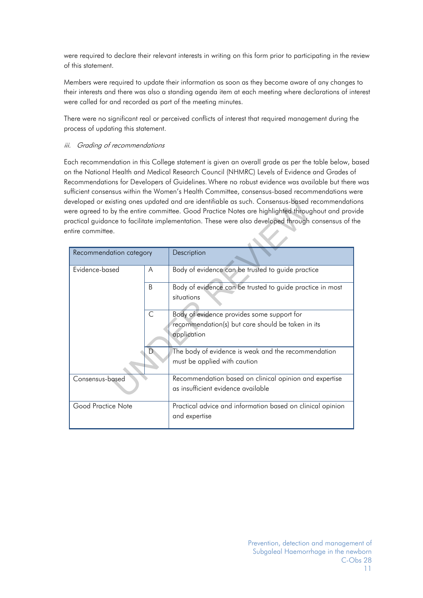were required to declare their relevant interests in writing on this form prior to participating in the review of this statement.

Members were required to update their information as soon as they become aware of any changes to their interests and there was also a standing agenda item at each meeting where declarations of interest were called for and recorded as part of the meeting minutes.

There were no significant real or perceived conflicts of interest that required management during the process of updating this statement.

#### iii. Grading of recommendations

Each recommendation in this College statement is given an overall grade as per the table below, based on the National Health and Medical Research Council (NHMRC) Levels of Evidence and Grades of Recommendations for Developers of Guidelines. Where no robust evidence was available but there was sufficient consensus within the Women's Health Committee, consensus-based recommendations were developed or existing ones updated and are identifiable as such. Consensus-based recommendations were agreed to by the entire committee. Good Practice Notes are highlighted throughout and provide practical guidance to facilitate implementation. These were also developed through consensus of the entire committee.

|                         |              | leveloped or existing ones updated and are identifiable as such. Consensus-based recommendatio<br>vere agreed to by the entire committee. Good Practice Notes are highlighted throughout and prov<br>ractical guidance to facilitate implementation. These were also developed through consensus of tl |
|-------------------------|--------------|--------------------------------------------------------------------------------------------------------------------------------------------------------------------------------------------------------------------------------------------------------------------------------------------------------|
| ntire committee.        |              |                                                                                                                                                                                                                                                                                                        |
| Recommendation category |              | Description                                                                                                                                                                                                                                                                                            |
| Evidence-based          | A            | Body of evidence can be trusted to guide practice                                                                                                                                                                                                                                                      |
|                         | B            | Body of evidence can be trusted to guide practice in most<br>situations                                                                                                                                                                                                                                |
|                         | $\mathsf{C}$ | Body of evidence provides some support for<br>recommendation(s) but care should be taken in its<br>application                                                                                                                                                                                         |
|                         |              | The body of evidence is weak and the recommendation<br>must be applied with caution                                                                                                                                                                                                                    |
| Consensus-based         |              | Recommendation based on clinical opinion and expertise<br>as insufficient evidence available                                                                                                                                                                                                           |
| Good Practice Note      |              | Practical advice and information based on clinical opinion<br>and expertise                                                                                                                                                                                                                            |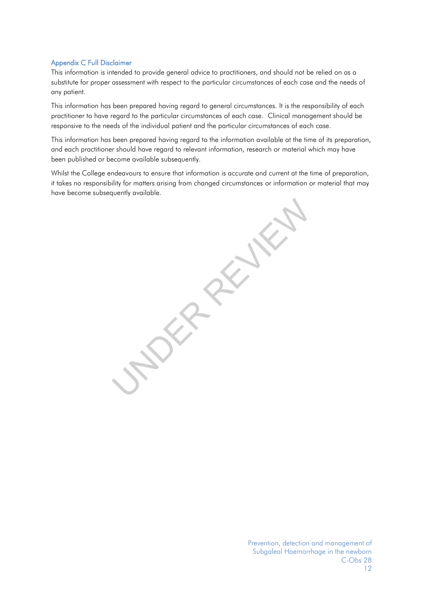#### <span id="page-11-0"></span>Appendix C Full Disclaimer

This information is intended to provide general advice to practitioners, and should not be relied on as a substitute for proper assessment with respect to the particular circumstances of each case and the needs of any patient.

This information has been prepared having regard to general circumstances. It is the responsibility of each practitioner to have regard to the particular circumstances of each case. Clinical management should be responsive to the needs of the individual patient and the particular circumstances of each case.

This information has been prepared having regard to the information available at the time of its preparation, and each practitioner should have regard to relevant information, research or material which may have been published or become available subsequently.

Whilst the College endeavours to ensure that information is accurate and current at the time of preparation, it takes no responsibility for matters arising from changed circumstances or information or material that may have become subsequently available.

UNDER REVIEW